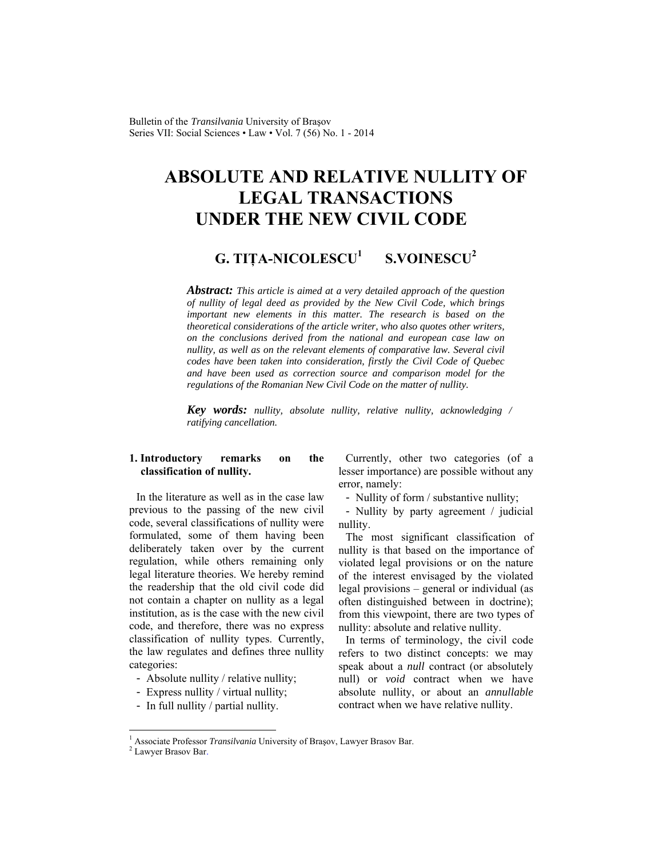Bulletin of the *Transilvania* University of Braşov Series VII: Social Sciences • Law • Vol. 7 (56) No. 1 - 2014

# **ABSOLUTE AND RELATIVE NULLITY OF LEGAL TRANSACTIONS UNDER THE NEW CIVIL CODE**

#### **G. TIŢA-NICOLESCU<sup>1</sup> S.VOINESCU<sup>2</sup>**

*Abstract: This article is aimed at a very detailed approach of the question of nullity of legal deed as provided by the New Civil Code, which brings important new elements in this matter. The research is based on the theoretical considerations of the article writer, who also quotes other writers, on the conclusions derived from the national and european case law on nullity, as well as on the relevant elements of comparative law. Several civil codes have been taken into consideration, firstly the Civil Code of Quebec and have been used as correction source and comparison model for the regulations of the Romanian New Civil Code on the matter of nullity.* 

*Key words: nullity, absolute nullity, relative nullity, acknowledging / ratifying cancellation.* 

# **1. Introductory remarks on the classification of nullity.**

In the literature as well as in the case law previous to the passing of the new civil code, several classifications of nullity were formulated, some of them having been deliberately taken over by the current regulation, while others remaining only legal literature theories. We hereby remind the readership that the old civil code did not contain a chapter on nullity as a legal institution, as is the case with the new civil code, and therefore, there was no express classification of nullity types. Currently, the law regulates and defines three nullity categories:

- Absolute nullity / relative nullity;
- Express nullity / virtual nullity;
- In full nullity / partial nullity.

Currently, other two categories (of a lesser importance) are possible without any error, namely:

- Nullity of form / substantive nullity;

- Nullity by party agreement / judicial nullity.

The most significant classification of nullity is that based on the importance of violated legal provisions or on the nature of the interest envisaged by the violated legal provisions – general or individual (as often distinguished between in doctrine); from this viewpoint, there are two types of nullity: absolute and relative nullity.

In terms of terminology, the civil code refers to two distinct concepts: we may speak about a *null* contract (or absolutely null) or *void* contract when we have absolute nullity, or about an *annullable* contract when we have relative nullity.

l

<sup>&</sup>lt;sup>1</sup> Associate Professor *Transilvania* University of Brașov, Lawyer Brasov Bar.<br><sup>2</sup> Lawyer Brasov Bar.

Lawyer Brasov Bar.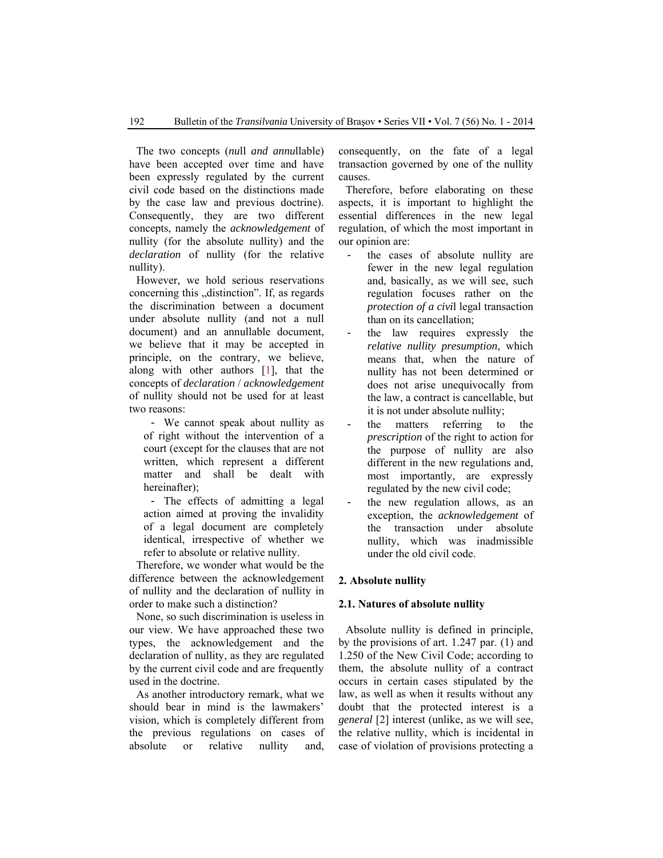The two concepts (*nu*ll *and annu*llable) have been accepted over time and have been expressly regulated by the current civil code based on the distinctions made by the case law and previous doctrine). Consequently, they are two different concepts, namely the *acknowledgement* of nullity (for the absolute nullity) and the *declaration* of nullity (for the relative nullity).

However, we hold serious reservations concerning this "distinction". If, as regards the discrimination between a document under absolute nullity (and not a null document) and an annullable document, we believe that it may be accepted in principle, on the contrary, we believe, along with other authors [1], that the concepts of *declaration* / *acknowledgement* of nullity should not be used for at least two reasons:

- We cannot speak about nullity as of right without the intervention of a court (except for the clauses that are not written, which represent a different matter and shall be dealt with hereinafter);

- The effects of admitting a legal action aimed at proving the invalidity of a legal document are completely identical, irrespective of whether we refer to absolute or relative nullity.

Therefore, we wonder what would be the difference between the acknowledgement of nullity and the declaration of nullity in order to make such a distinction?

None, so such discrimination is useless in our view. We have approached these two types, the acknowledgement and the declaration of nullity, as they are regulated by the current civil code and are frequently used in the doctrine.

As another introductory remark, what we should bear in mind is the lawmakers' vision, which is completely different from the previous regulations on cases of absolute or relative nullity and, consequently, on the fate of a legal transaction governed by one of the nullity causes.

Therefore, before elaborating on these aspects, it is important to highlight the essential differences in the new legal regulation, of which the most important in our opinion are:

- the cases of absolute nullity are fewer in the new legal regulation and, basically, as we will see, such regulation focuses rather on the *protection of a civi*l legal transaction than on its cancellation;
- the law requires expressly the *relative nullity presumption*, which means that, when the nature of nullity has not been determined or does not arise unequivocally from the law, a contract is cancellable, but it is not under absolute nullity;
- the matters referring to the *prescription* of the right to action for the purpose of nullity are also different in the new regulations and, most importantly, are expressly regulated by the new civil code;
- the new regulation allows, as an exception, the *acknowledgement* of the transaction under absolute nullity, which was inadmissible under the old civil code.

#### **2. Absolute nullity**

#### **2.1. Natures of absolute nullity**

Absolute nullity is defined in principle, by the provisions of art. 1.247 par. (1) and 1.250 of the New Civil Code; according to them, the absolute nullity of a contract occurs in certain cases stipulated by the law, as well as when it results without any doubt that the protected interest is a *general* [2] interest (unlike, as we will see, the relative nullity, which is incidental in case of violation of provisions protecting a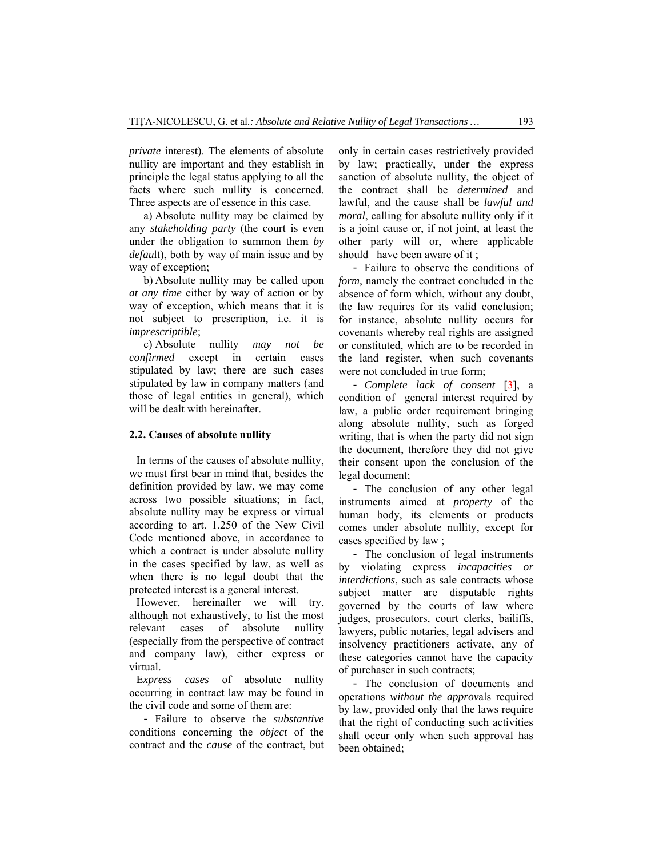*private* interest). The elements of absolute nullity are important and they establish in principle the legal status applying to all the facts where such nullity is concerned. Three aspects are of essence in this case.

a) Absolute nullity may be claimed by any *stakeholding party* (the court is even under the obligation to summon them *by defau*lt), both by way of main issue and by way of exception;

b) Absolute nullity may be called upon *at any time* either by way of action or by way of exception, which means that it is not subject to prescription, i.e. it is *imprescriptible*;

c) Absolute nullity *may not be confirmed* except in certain cases stipulated by law; there are such cases stipulated by law in company matters (and those of legal entities in general), which will be dealt with hereinafter.

## **2.2. Causes of absolute nullity**

In terms of the causes of absolute nullity, we must first bear in mind that, besides the definition provided by law, we may come across two possible situations; in fact, absolute nullity may be express or virtual according to art. 1.250 of the New Civil Code mentioned above, in accordance to which a contract is under absolute nullity in the cases specified by law, as well as when there is no legal doubt that the protected interest is a general interest.

However, hereinafter we will try, although not exhaustively, to list the most relevant cases of absolute nullity (especially from the perspective of contract and company law), either express or virtual.

E*xpress cases* of absolute nullity occurring in contract law may be found in the civil code and some of them are:

- Failure to observe the *substantive*  conditions concerning the *object* of the contract and the *cause* of the contract, but only in certain cases restrictively provided by law; practically, under the express sanction of absolute nullity, the object of the contract shall be *determined* and lawful, and the cause shall be *lawful and moral*, calling for absolute nullity only if it is a joint cause or, if not joint, at least the other party will or, where applicable should have been aware of it ;

- Failure to observe the conditions of *form*, namely the contract concluded in the absence of form which, without any doubt, the law requires for its valid conclusion; for instance, absolute nullity occurs for covenants whereby real rights are assigned or constituted, which are to be recorded in the land register, when such covenants were not concluded in true form;

- *Complete lack of consent* [3], a condition of general interest required by law, a public order requirement bringing along absolute nullity, such as forged writing, that is when the party did not sign the document, therefore they did not give their consent upon the conclusion of the legal document;

- The conclusion of any other legal instruments aimed at *property* of the human body, its elements or products comes under absolute nullity, except for cases specified by law ;

- The conclusion of legal instruments by violating express *incapacities or interdictions*, such as sale contracts whose subject matter are disputable rights governed by the courts of law where judges, prosecutors, court clerks, bailiffs, lawyers, public notaries, legal advisers and insolvency practitioners activate, any of these categories cannot have the capacity of purchaser in such contracts;

- The conclusion of documents and operations *without the approv*als required by law, provided only that the laws require that the right of conducting such activities shall occur only when such approval has been obtained;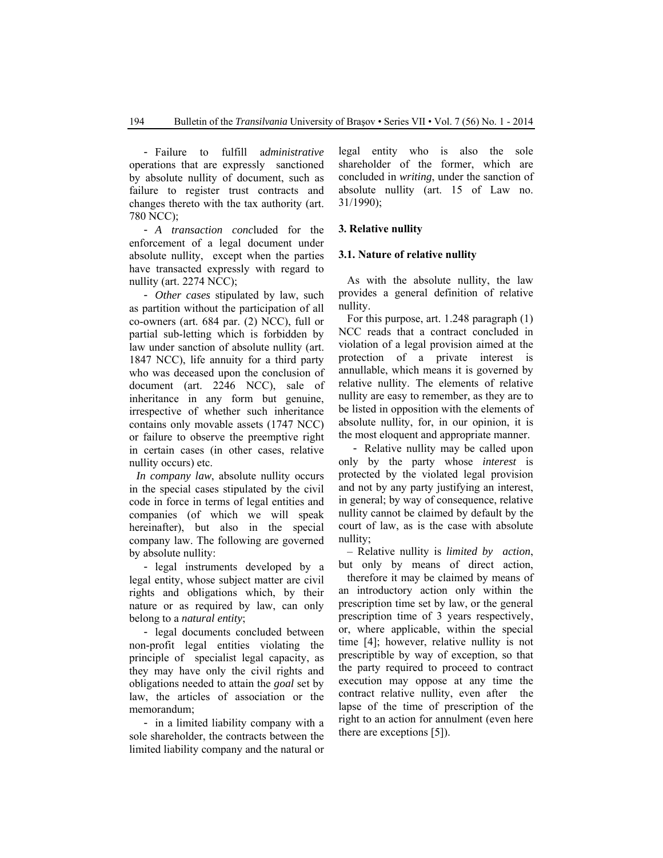- Failure to fulfill a*dministrative* operations that are expressly sanctioned by absolute nullity of document, such as failure to register trust contracts and changes thereto with the tax authority (art. 780 NCC);

- *A transaction conc*luded for the enforcement of a legal document under absolute nullity, except when the parties have transacted expressly with regard to nullity (art. 2274 NCC);

- *Other cases* stipulated by law, such as partition without the participation of all co-owners (art. 684 par. (2) NCC), full or partial sub-letting which is forbidden by law under sanction of absolute nullity (art. 1847 NCC), life annuity for a third party who was deceased upon the conclusion of document (art. 2246 NCC), sale of inheritance in any form but genuine, irrespective of whether such inheritance contains only movable assets (1747 NCC) or failure to observe the preemptive right in certain cases (in other cases, relative nullity occurs) etc.

*In company law*, absolute nullity occurs in the special cases stipulated by the civil code in force in terms of legal entities and companies (of which we will speak hereinafter), but also in the special company law. The following are governed by absolute nullity:

- legal instruments developed by a legal entity, whose subject matter are civil rights and obligations which, by their nature or as required by law, can only belong to a *natural entity*;

- legal documents concluded between non-profit legal entities violating the principle of specialist legal capacity, as they may have only the civil rights and obligations needed to attain the *goal* set by law, the articles of association or the memorandum;

- in a limited liability company with a sole shareholder, the contracts between the limited liability company and the natural or legal entity who is also the sole shareholder of the former, which are concluded in *writing*, under the sanction of absolute nullity (art. 15 of Law no. 31/1990);

#### **3. Relative nullity**

#### **3.1. Nature of relative nullity**

As with the absolute nullity, the law provides a general definition of relative nullity.

For this purpose, art. 1.248 paragraph (1) NCC reads that a contract concluded in violation of a legal provision aimed at the protection of a private interest is annullable, which means it is governed by relative nullity. The elements of relative nullity are easy to remember, as they are to be listed in opposition with the elements of absolute nullity, for, in our opinion, it is the most eloquent and appropriate manner.

- Relative nullity may be called upon only by the party whose *interest* is protected by the violated legal provision and not by any party justifying an interest, in general; by way of consequence, relative nullity cannot be claimed by default by the court of law, as is the case with absolute nullity;

– Relative nullity is *limited by action*, but only by means of direct action,

therefore it may be claimed by means of an introductory action only within the prescription time set by law, or the general prescription time of 3 years respectively, or, where applicable, within the special time [4]; however, relative nullity is not prescriptible by way of exception, so that the party required to proceed to contract execution may oppose at any time the contract relative nullity, even after the lapse of the time of prescription of the right to an action for annulment (even here there are exceptions [5]).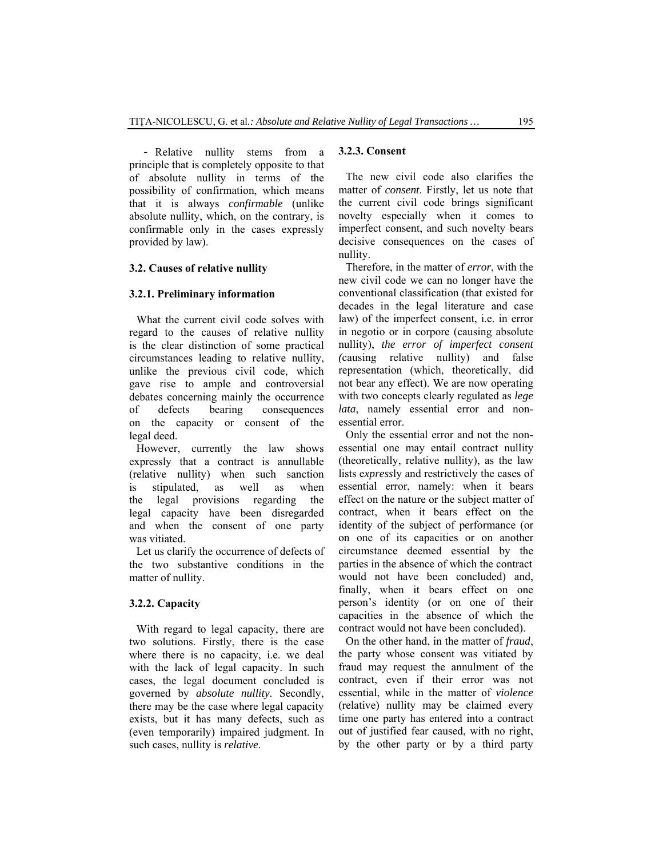- Relative nullity stems from a principle that is completely opposite to that of absolute nullity in terms of the possibility of confirmation, which means that it is always *confirmable* (unlike absolute nullity, which, on the contrary, is confirmable only in the cases expressly provided by law).

#### **3.2. Causes of relative nullity**

#### **3.2.1. Preliminary information**

What the current civil code solves with regard to the causes of relative nullity is the clear distinction of some practical circumstances leading to relative nullity, unlike the previous civil code, which gave rise to ample and controversial debates concerning mainly the occurrence of defects bearing consequences on the capacity or consent of the legal deed.

However, currently the law shows expressly that a contract is annullable (relative nullity) when such sanction is stipulated, as well as when the legal provisions regarding the legal capacity have been disregarded and when the consent of one party was vitiated.

Let us clarify the occurrence of defects of the two substantive conditions in the matter of nullity.

#### **3.2.2. Capacity**

With regard to legal capacity, there are two solutions. Firstly, there is the case where there is no capacity, i.e. we deal with the lack of legal capacity. In such cases, the legal document concluded is governed by *absolute nullity*. Secondly, there may be the case where legal capacity exists, but it has many defects, such as (even temporarily) impaired judgment. In such cases, nullity is *relative*.

#### **3.2.3. Consent**

The new civil code also clarifies the matter of *consent*. Firstly, let us note that the current civil code brings significant novelty especially when it comes to imperfect consent, and such novelty bears decisive consequences on the cases of nullity.

Therefore, in the matter of *error*, with the new civil code we can no longer have the conventional classification (that existed for decades in the legal literature and case law) of the imperfect consent, i.e. in error in negotio or in corpore (causing absolute nullity), *the error of imperfect consent (*causing relative nullity) and false representation (which, theoretically, did not bear any effect). We are now operating with two concepts clearly regulated as *lege lata*, namely essential error and nonessential error.

Only the essential error and not the nonessential one may entail contract nullity (theoretically, relative nullity), as the law lists e*xpress*ly and restrictively the cases of essential error, namely: when it bears effect on the nature or the subject matter of contract, when it bears effect on the identity of the subject of performance (or on one of its capacities or on another circumstance deemed essential by the parties in the absence of which the contract would not have been concluded) and, finally, when it bears effect on one person's identity (or on one of their capacities in the absence of which the contract would not have been concluded).

On the other hand, in the matter of *fraud*, the party whose consent was vitiated by fraud may request the annulment of the contract, even if their error was not essential, while in the matter of *violence* (relative) nullity may be claimed every time one party has entered into a contract out of justified fear caused, with no right, by the other party or by a third party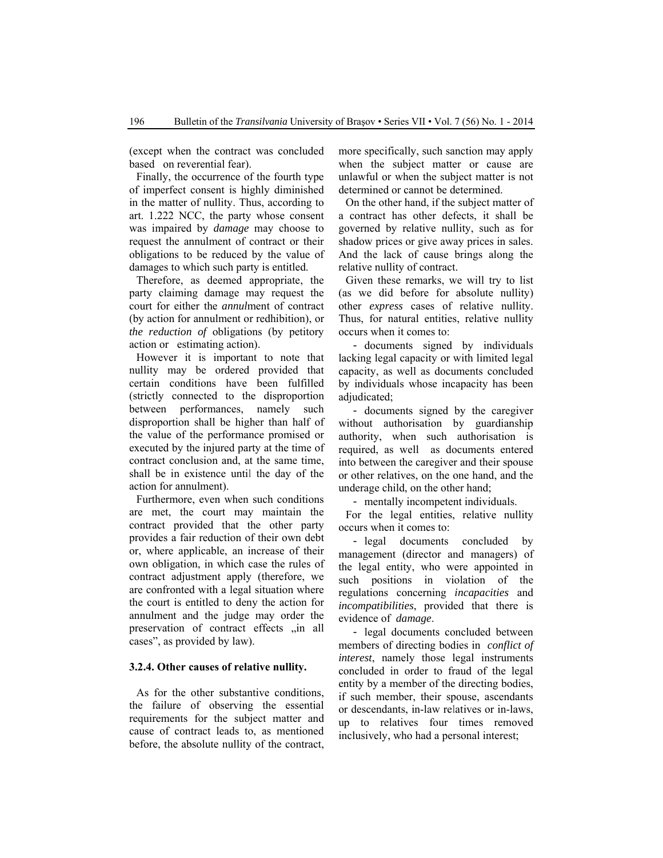(except when the contract was concluded based on reverential fear).

Finally, the occurrence of the fourth type of imperfect consent is highly diminished in the matter of nullity. Thus, according to art. 1.222 NCC, the party whose consent was impaired by *damage* may choose to request the annulment of contract or their obligations to be reduced by the value of damages to which such party is entitled.

Therefore, as deemed appropriate, the party claiming damage may request the court for either the *annul*ment of contract (by action for annulment or redhibition), or *the reduction of* obligations (by petitory action or estimating action).

However it is important to note that nullity may be ordered provided that certain conditions have been fulfilled (strictly connected to the disproportion between performances, namely such disproportion shall be higher than half of the value of the performance promised or executed by the injured party at the time of contract conclusion and, at the same time, shall be in existence until the day of the action for annulment).

Furthermore, even when such conditions are met, the court may maintain the contract provided that the other party provides a fair reduction of their own debt or, where applicable, an increase of their own obligation, in which case the rules of contract adjustment apply (therefore, we are confronted with a legal situation where the court is entitled to deny the action for annulment and the judge may order the preservation of contract effects "in all cases", as provided by law).

# **3.2.4. Other causes of relative nullity.**

As for the other substantive conditions, the failure of observing the essential requirements for the subject matter and cause of contract leads to, as mentioned before, the absolute nullity of the contract, more specifically, such sanction may apply when the subject matter or cause are unlawful or when the subject matter is not determined or cannot be determined.

On the other hand, if the subject matter of a contract has other defects, it shall be governed by relative nullity, such as for shadow prices or give away prices in sales. And the lack of cause brings along the relative nullity of contract.

Given these remarks, we will try to list (as we did before for absolute nullity) other *express* cases of relative nullity. Thus, for natural entities, relative nullity occurs when it comes to:

- documents signed by individuals lacking legal capacity or with limited legal capacity, as well as documents concluded by individuals whose incapacity has been adjudicated;

- documents signed by the caregiver without authorisation by guardianship authority, when such authorisation is required, as well as documents entered into between the caregiver and their spouse or other relatives, on the one hand, and the underage child, on the other hand;

- mentally incompetent individuals.

For the legal entities, relative nullity occurs when it comes to:

- legal documents concluded by management (director and managers) of the legal entity, who were appointed in such positions in violation of the regulations concerning *incapacities* and *incompatibilities*, provided that there is evidence of *damage*.

- legal documents concluded between members of directing bodies in *conflict of interest*, namely those legal instruments concluded in order to fraud of the legal entity by a member of the directing bodies, if such member, their spouse, ascendants or descendants, in-law relatives or in-laws, up to relatives four times removed inclusively, who had a personal interest;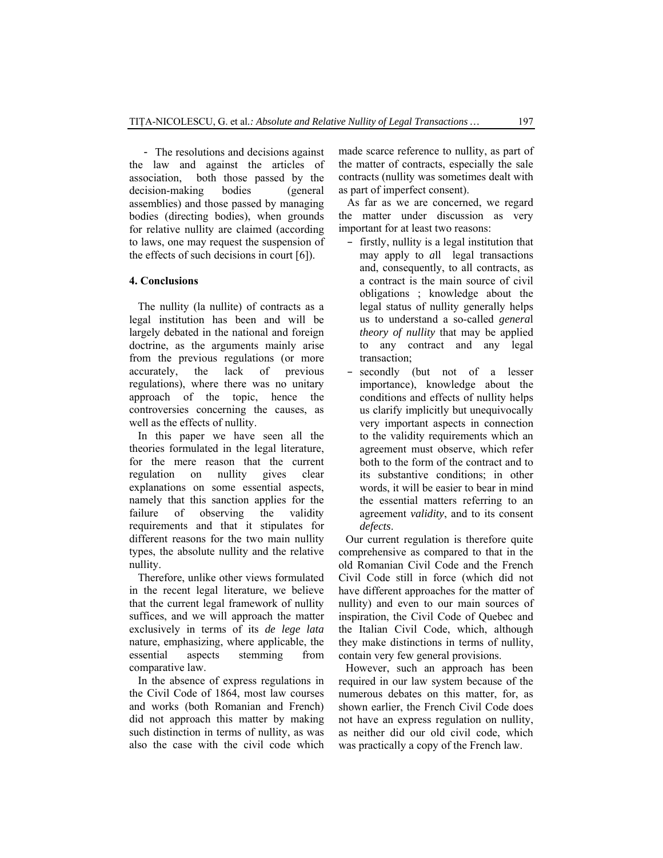- The resolutions and decisions against the law and against the articles of association, both those passed by the decision-making bodies (general assemblies) and those passed by managing bodies (directing bodies), when grounds for relative nullity are claimed (according to laws, one may request the suspension of the effects of such decisions in court [6]).

# **4. Conclusions**

The nullity (la nullite) of contracts as a legal institution has been and will be largely debated in the national and foreign doctrine, as the arguments mainly arise from the previous regulations (or more accurately, the lack of previous regulations), where there was no unitary approach of the topic, hence the controversies concerning the causes, as well as the effects of nullity.

In this paper we have seen all the theories formulated in the legal literature, for the mere reason that the current regulation on nullity gives clear explanations on some essential aspects, namely that this sanction applies for the failure of observing the validity requirements and that it stipulates for different reasons for the two main nullity types, the absolute nullity and the relative nullity.

Therefore, unlike other views formulated in the recent legal literature, we believe that the current legal framework of nullity suffices, and we will approach the matter exclusively in terms of its *de lege lata* nature, emphasizing, where applicable, the essential aspects stemming from comparative law.

In the absence of express regulations in the Civil Code of 1864, most law courses and works (both Romanian and French) did not approach this matter by making such distinction in terms of nullity, as was also the case with the civil code which made scarce reference to nullity, as part of the matter of contracts, especially the sale contracts (nullity was sometimes dealt with as part of imperfect consent).

As far as we are concerned, we regard the matter under discussion as very important for at least two reasons:

- firstly, nullity is a legal institution that may apply to *a*ll legal transactions and, consequently, to all contracts, as a contract is the main source of civil obligations ; knowledge about the legal status of nullity generally helps us to understand a so-called *genera*l *theory of nullity* that may be applied to any contract and any legal transaction;
- secondly (but not of a lesser importance), knowledge about the conditions and effects of nullity helps us clarify implicitly but unequivocally very important aspects in connection to the validity requirements which an agreement must observe, which refer both to the form of the contract and to its substantive conditions; in other words, it will be easier to bear in mind the essential matters referring to an agreement *validity*, and to its consent *defects*.

Our current regulation is therefore quite comprehensive as compared to that in the old Romanian Civil Code and the French Civil Code still in force (which did not have different approaches for the matter of nullity) and even to our main sources of inspiration, the Civil Code of Quebec and the Italian Civil Code, which, although they make distinctions in terms of nullity, contain very few general provisions.

However, such an approach has been required in our law system because of the numerous debates on this matter, for, as shown earlier, the French Civil Code does not have an express regulation on nullity, as neither did our old civil code, which was practically a copy of the French law.